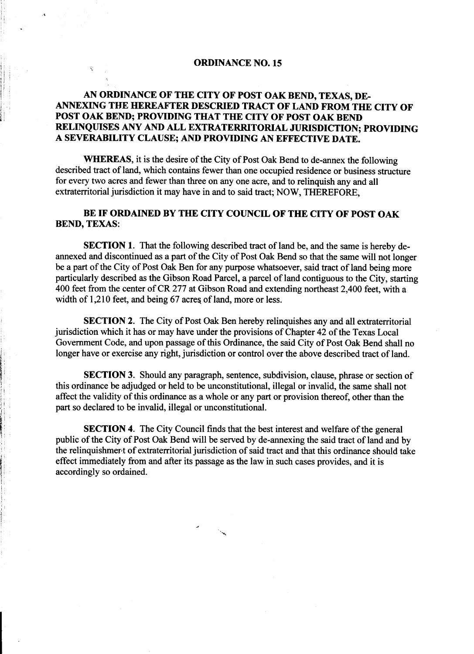#### ORDINANCE NO. 15

;

 $\mathsf{i}_\mathsf{l}$ 

: i  $\mathbf{i}$ 'ii  $\mathbf{I}$ 

I' ~

g i  $^{\circ}$ ~

> i , ! i , ,

i je postavanja se od se od se od se od se od se od se od se od se od se od se od se od se od se od se od se o

 $\begin{bmatrix} 1 & & & & \\ & \ddots & & & \end{bmatrix}$ 

## AN ORDINANCE OF THE CITY OF POST OAK BEND, TEXAS, DEj ANNEXING THE HEREAFTER DESCRIED TRACT OF LAND FROM THE CITY OF POST OAK BEND; PROVIDING THAT THE CITY OF POST OAK BEND RELINQUISES ANY AND ALL EXTRATERRITORIAL JURISDICTION; PROVIDING A SEVERABILITY CLAUSE; AND PROVIDING AN EFFECTIVE DATE.

WHEREAS, it is the desire of the City of Post Oak Bend to de-annex the following described tract of land, which contains fewer than one occupied residence or business structure for every two acres and fewer than three on anyone acre, and to relinquish any and all extraterritorial jurisdiction it may have in and to said tract; NOW, THEREFORE,

### BE IF ORDAINED BY THE CITY COUNCIL OF THE CITY OF POST OAK BEND, TEXAS:

SECTION 1. That the following described tract of land be, and the same is hereby deannexed and discontinued as a part of the City of Post Oak Bend so that the same will not longer be a part of the City of Post Oak Ben for any purpose whatsoever, said tract of land being more particularly described as the Gibson Road Parcel, a parcel of land contiguous to the City, starting 400 feet from the center of CR 277 at Gibson Road and extending northeast 2,400 feet, with a width of 1,210 feet, and being 67 acres of land, more or less.

SECTION 2. The City of Post Oak Ben hereby relinquishes any and all extraterritorial jurisdiction which it has or may have under the provisions of Chapter 42 of the Texas Local : Government Code, and upon passage of this Ordinance, the said City of Post Oak Bend shall no longer have or exercise any right, jurisdiction or control over the above described tract of land.

SECTION 3. Should any paragraph, sentence, subdivision, clause, phrase or section of this ordinance be adjudged or held to be unconstitutional, illegal or invalid, the same shall not affect the validity of this ordinance as a whole or any part or provision thereof, other than the part so declared to be invalid, illegal or unconstitutional.

**SECTION 4.** The City Council finds that the best interest and welfare of the general ! public of the City of Post Oak Bend will be served by de-annexing the said tract of land and by the relinquishment of extraterritorial jurisdiction of said tract and that this ordinance should take effect immediately from and after its passage as the law in such cases provides, and it is accordingly so ordained.

'..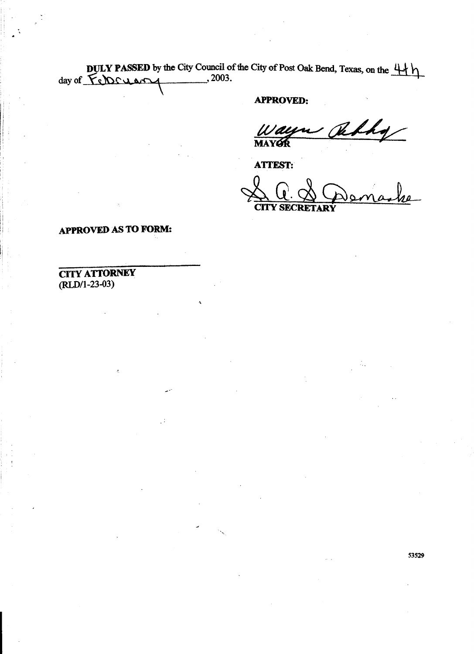DULY PASSED by the City Council of the City of Post Oak Bend, Texas, on the  $\downarrow \downarrow \downarrow$  $d$ ay of  $\epsilon$ N $\epsilon$ u e $\sim$ 

,

~

## APPROVED:

 $\mu \nu$  delha  $\overline{\phantom{a}}$ In the contract of the contract of the contract of the contract of  $\mathbf{M}\mathbf{A}$ 

**ATTEST:** 

 $\alpha$   $\alpha$   $\alpha$   $\alpha$   $\beta$  $\sum_{\text{CIV} \text{ SCRETTARY}}$ 

# APPROVED AS TO FORM:

.'

## CITY ATTORNEY (RLD/1-23-O3)

, .

 $\mathbf{I}$ 

; ;